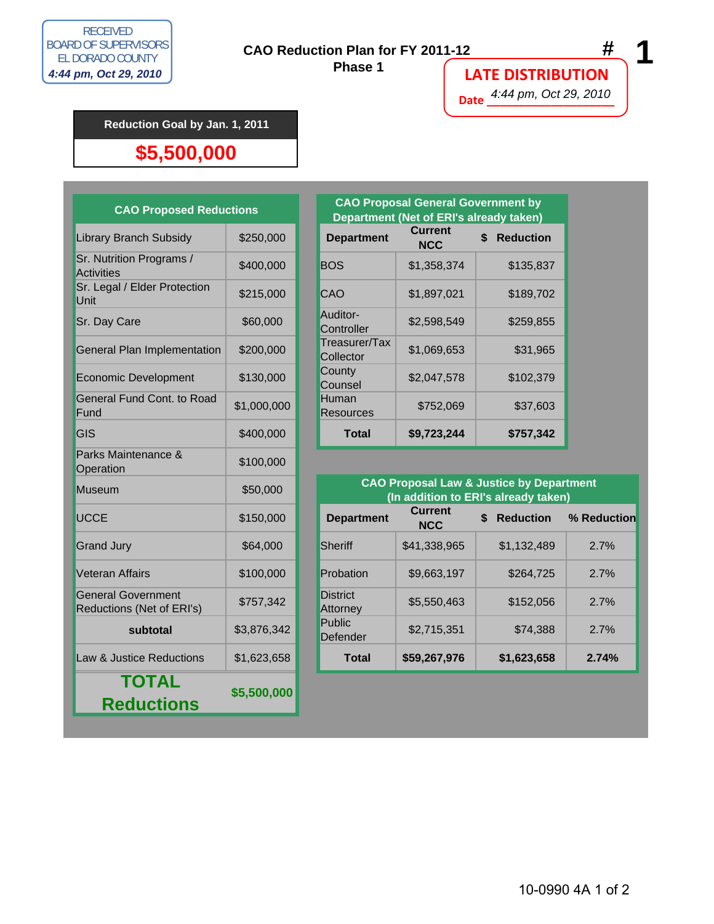

 **Phase 1**

### **LATE DISTRIBUTION**

**Date \_\_\_\_\_\_\_\_\_\_\_\_\_\_\_\_\_\_\_\_** 4:44 pm, Oct 29, 2010

#### **Reduction Goal by Jan. 1, 2011**

#### **\$5,500,000**

| <b>CAO Proposed Reductions</b>                         | <b>CAO Proposal General</b><br><b>Department (Net of ERI</b> |                             |                                          |  |
|--------------------------------------------------------|--------------------------------------------------------------|-----------------------------|------------------------------------------|--|
| <b>Library Branch Subsidy</b>                          | \$250,000                                                    | <b>Department</b>           | <b>Current</b><br><b>NCC</b>             |  |
| Sr. Nutrition Programs /<br><b>Activities</b>          | \$400,000                                                    | <b>BOS</b>                  | \$1,358,3                                |  |
| Sr. Legal / Elder Protection<br>Unit                   | \$215,000                                                    | CAO                         | \$1,897,02                               |  |
| Sr. Day Care                                           | \$60,000                                                     | Auditor-<br>Controller      | \$2,598,54                               |  |
| General Plan Implementation                            | \$200,000                                                    | Treasurer/Tax<br>Collector  | \$1,069,6                                |  |
| <b>Economic Development</b>                            | \$130,000                                                    | County<br>Counsel           | \$2,047,5                                |  |
| General Fund Cont. to Road<br>Fund                     | \$1,000,000                                                  | Human<br><b>Resources</b>   | \$752,0                                  |  |
| <b>GIS</b>                                             | \$400,000                                                    | <b>Total</b>                | \$9,723,24                               |  |
| Parks Maintenance &<br>Operation                       | \$100,000                                                    |                             |                                          |  |
| <b>Museum</b>                                          | \$50,000                                                     |                             | <b>CAO Proposal La</b><br>(In addition t |  |
| <b>UCCE</b>                                            | \$150,000                                                    | <b>Department</b>           | <b>Current</b><br><b>NCC</b>             |  |
| <b>Grand Jury</b>                                      | \$64,000                                                     | <b>Sheriff</b>              | \$41,338,9                               |  |
| <b>Veteran Affairs</b>                                 | \$100,000                                                    | Probation                   | \$9,663,19                               |  |
| <b>General Government</b><br>Reductions (Net of ERI's) | \$757,342                                                    | <b>District</b><br>Attorney | \$5,550,4                                |  |
| subtotal                                               | \$3,876,342                                                  | Public<br>Defender          | \$2,715,35                               |  |
| Law & Justice Reductions                               | \$1,623,658                                                  | <b>Total</b>                | \$59,267,9                               |  |
| <b>TOTAL</b><br><b>Reductions</b>                      | \$5,500,000                                                  |                             |                                          |  |

| <b>CAO Proposed Reductions</b>         |             |  | <b>CAO Proposal General Government by</b><br>Department (Net of ERI's already taken) |                              |                        |  |  |
|----------------------------------------|-------------|--|--------------------------------------------------------------------------------------|------------------------------|------------------------|--|--|
| <b>Library Branch Subsidy</b>          | \$250,000   |  | <b>Department</b>                                                                    | <b>Current</b><br><b>NCC</b> | <b>Reduction</b><br>\$ |  |  |
| Sr. Nutrition Programs /<br>Activities | \$400,000   |  | <b>BOS</b>                                                                           | \$1,358,374                  | \$135,837              |  |  |
| Sr. Legal / Elder Protection<br>Unit   | \$215,000   |  | <b>CAO</b>                                                                           | \$1,897,021                  | \$189,702              |  |  |
| Sr. Day Care                           | \$60,000    |  | Auditor-<br>Controller                                                               | \$2,598,549                  | \$259,855              |  |  |
| <b>General Plan Implementation</b>     | \$200,000   |  | Treasurer/Tax<br>Collector                                                           | \$1,069,653                  | \$31,965               |  |  |
| <b>Economic Development</b>            | \$130,000   |  | County<br>Counsel                                                                    | \$2,047,578                  | \$102,379              |  |  |
| General Fund Cont. to Road<br>Fund     | \$1,000,000 |  | Human<br><b>Resources</b>                                                            | \$752,069                    | \$37,603               |  |  |
| <b>GIS</b>                             | \$400,000   |  | <b>Total</b>                                                                         | \$9,723,244                  | \$757,342              |  |  |

| <b>Museum</b>                                          | \$50,000    | <b>CAO Proposal Law &amp; Justice by Department</b><br>(In addition to ERI's already taken) |                              |                                  |             |  |  |  |
|--------------------------------------------------------|-------------|---------------------------------------------------------------------------------------------|------------------------------|----------------------------------|-------------|--|--|--|
| <b>UCCE</b>                                            | \$150,000   | <b>Department</b>                                                                           | <b>Current</b><br><b>NCC</b> | $\mathbf{s}$<br><b>Reduction</b> | % Reduction |  |  |  |
| <b>Grand Jury</b>                                      | \$64,000    | <b>Sheriff</b>                                                                              | \$41,338,965                 | \$1.132.489                      | 2.7%        |  |  |  |
| Veteran Affairs                                        | \$100,000   | Probation                                                                                   | \$9,663,197                  | \$264,725                        | 2.7%        |  |  |  |
| <b>General Government</b><br>Reductions (Net of ERI's) | \$757,342   | <b>District</b><br><b>Attorney</b>                                                          | \$5,550,463                  | \$152,056                        | 2.7%        |  |  |  |
| subtotal                                               | \$3,876,342 | <b>Public</b><br>Defender                                                                   | \$2,715,351                  | \$74.388                         | 2.7%        |  |  |  |
| Law & Justice Reductions                               | \$1,623,658 | <b>Total</b>                                                                                | \$59,267,976                 | \$1,623,658                      | 2.74%       |  |  |  |